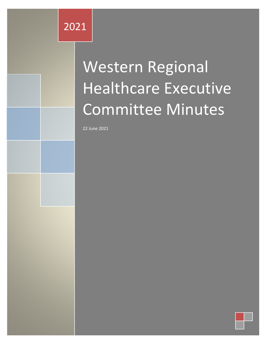## 2021

# Western Regional Healthcare Executive Committee Minutes

22 June 2021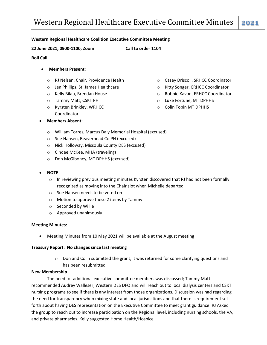**22 June 2021, 0900-1100, Zoom Call to order 1104**

### **Roll Call**

- **Members Present:**
	- o RJ Nelsen, Chair, Providence Health
	- o Jen Phillips, St. James Healthcare
	- o Kelly Bilau, Brendan House
	- o Tammy Matt, CSKT PH
	- o Kyrsten Brinkley, WRHCC Coordinator
- **Members Absent:**
- o Casey Driscoll, SRHCC Coordinator
- o Kitty Songer, CRHCC Coordinator
- o Robbie Kavon, ERHCC Coordinator
- o Luke Fortune, MT DPHHS
- o Colin Tobin MT DPHHS
- o William Torres, Marcus Daly Memorial Hospital (excused)
- o Sue Hansen, Beaverhead Co PH (excused)
- o Nick Holloway, Missoula County DES (excused)
- o Cindee McKee, MHA (traveling)
- o Don McGiboney, MT DPHHS (excused)
- **NOTE**
	- $\circ$  In reviewing previous meeting minutes Kyrsten discovered that RJ had not been formally recognized as moving into the Chair slot when Michelle departed
	- o Sue Hansen needs to be voted on
	- o Motion to approve these 2 items by Tammy
	- o Seconded by Willie
	- o Approved unanimously

#### **Meeting Minutes:**

Meeting Minutes from 10 May 2021 will be available at the August meeting

#### **Treasury Report: No changes since last meeting**

 $\circ$  Don and Colin submitted the grant, it was returned for some clarifying questions and has been resubmitted.

#### **New Membership**

The need for additional executive committee members was discussed; Tammy Matt recommended Audrey Walleser, Western DES DFO and will reach out to local dialysis centers and CSKT nursing programs to see if there is any interest from those organizations. Discussion was had regarding the need for transparency when mixing state and local jurisdictions and that there is requirement set forth about having DES representation on the Executive Committee to meet grant guidance. RJ Asked the group to reach out to increase participation on the Regional level, including nursing schools, the VA, and private pharmacies. Kelly suggested Home Health/Hospice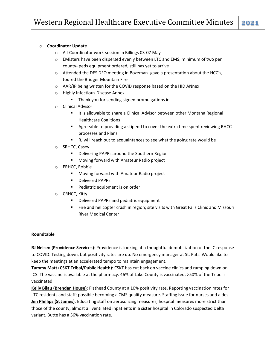### o **Coordinator Update**

- o All-Coordinator work-session in Billings 03-07 May
- o EMisters have been dispersed evenly between LTC and EMS, minimum of two per county- peds equipment ordered, still has yet to arrive
- o Attended the DES DFO meeting in Bozeman- gave a presentation about the HCC's, toured the Bridger Mountain Fire
- o AAR/IP being written for the COVID response based on the HID ANnex
- o Highly Infectious Disease Annex
	- **Thank you for sending signed promulgations in**
- o Clinical Advisor
	- **I** It is allowable to share a Clinical Advisor between other Montana Regional Healthcare Coalitions
	- Agreeable to providing a stipend to cover the extra time spent reviewing RHCC processes and Plans
	- RJ will reach out to acquaintances to see what the going rate would be
- o SRHCC, Casey
	- **•** Delivering PAPRs around the Southern Region
	- **Moving forward with Amateur Radio project**
- o ERHCC, Robbie
	- **Moving forward with Amateur Radio project**
	- **•** Delivered PAPRs
	- **Pediatric equipment is on order**
- o CRHCC, Kitty
	- **•** Delivered PAPRs and pediatric equipment
	- Fire and helicopter crash in region; site visits with Great Falls Clinic and Missouri River Medical Center

#### **Roundtable**

**RJ Nelsen (Providence Services)**: Providence is looking at a thoughtful demobilization of the IC response to COVID. Testing down, but positivity rates are up. No emergency manager at St. Pats. Would like to keep the meetings at an accelerated tempo to maintain engagement.

**Tammy Matt (CSKT Tribal/Public Health)**: CSKT has cut back on vaccine clinics and ramping down on ICS. The vaccine is available at the pharmacy. 46% of Lake County is vaccinated; >50% of the Tribe is vaccinated

**Kelly Bilau (Brendan House)**: Flathead County at a 10% positivity rate, Reporting vaccination rates for LTC residents and staff; possible becoming a CMS quality measure. Staffing issue for nurses and aides. **Jen Phillips (St James)**: Educating staff on aerosolizing measures, hospital measures more strict than those of the county, almost all ventilated inpatients in a sister hospital in Colorado suspected Delta variant. Butte has a 56% vaccination rate.